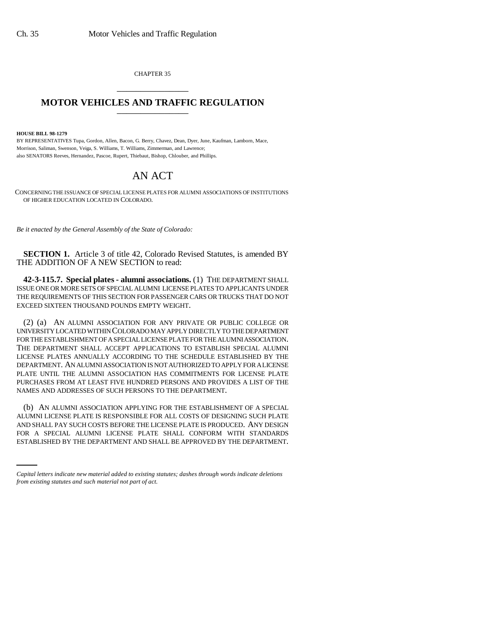CHAPTER 35 \_\_\_\_\_\_\_\_\_\_\_\_\_\_\_

## **MOTOR VEHICLES AND TRAFFIC REGULATION** \_\_\_\_\_\_\_\_\_\_\_\_\_\_\_

**HOUSE BILL 98-1279**

BY REPRESENTATIVES Tupa, Gordon, Allen, Bacon, G. Berry, Chavez, Dean, Dyer, June, Kaufman, Lamborn, Mace, Morrison, Saliman, Swenson, Veiga, S. Williams, T. Williams, Zimmerman, and Lawrence; also SENATORS Reeves, Hernandez, Pascoe, Rupert, Thiebaut, Bishop, Chlouber, and Phillips.

## AN ACT

CONCERNING THE ISSUANCE OF SPECIAL LICENSE PLATES FOR ALUMNI ASSOCIATIONS OF INSTITUTIONS OF HIGHER EDUCATION LOCATED IN COLORADO.

*Be it enacted by the General Assembly of the State of Colorado:*

**SECTION 1.** Article 3 of title 42, Colorado Revised Statutes, is amended BY THE ADDITION OF A NEW SECTION to read:

**42-3-115.7. Special plates - alumni associations.** (1) THE DEPARTMENT SHALL ISSUE ONE OR MORE SETS OF SPECIAL ALUMNI LICENSE PLATES TO APPLICANTS UNDER THE REQUIREMENTS OF THIS SECTION FOR PASSENGER CARS OR TRUCKS THAT DO NOT EXCEED SIXTEEN THOUSAND POUNDS EMPTY WEIGHT.

(2) (a) AN ALUMNI ASSOCIATION FOR ANY PRIVATE OR PUBLIC COLLEGE OR UNIVERSITY LOCATED WITHIN COLORADO MAY APPLY DIRECTLY TO THE DEPARTMENT FOR THE ESTABLISHMENT OF A SPECIAL LICENSE PLATE FOR THE ALUMNI ASSOCIATION. THE DEPARTMENT SHALL ACCEPT APPLICATIONS TO ESTABLISH SPECIAL ALUMNI LICENSE PLATES ANNUALLY ACCORDING TO THE SCHEDULE ESTABLISHED BY THE DEPARTMENT. AN ALUMNI ASSOCIATION IS NOT AUTHORIZED TO APPLY FOR A LICENSE PLATE UNTIL THE ALUMNI ASSOCIATION HAS COMMITMENTS FOR LICENSE PLATE PURCHASES FROM AT LEAST FIVE HUNDRED PERSONS AND PROVIDES A LIST OF THE NAMES AND ADDRESSES OF SUCH PERSONS TO THE DEPARTMENT.

AND SHALL PAY SUCH COSTS BEFORE THE LICENSE PLATE IS PRODUCED. ANY DESIGN (b) AN ALUMNI ASSOCIATION APPLYING FOR THE ESTABLISHMENT OF A SPECIAL ALUMNI LICENSE PLATE IS RESPONSIBLE FOR ALL COSTS OF DESIGNING SUCH PLATE FOR A SPECIAL ALUMNI LICENSE PLATE SHALL CONFORM WITH STANDARDS ESTABLISHED BY THE DEPARTMENT AND SHALL BE APPROVED BY THE DEPARTMENT.

*Capital letters indicate new material added to existing statutes; dashes through words indicate deletions from existing statutes and such material not part of act.*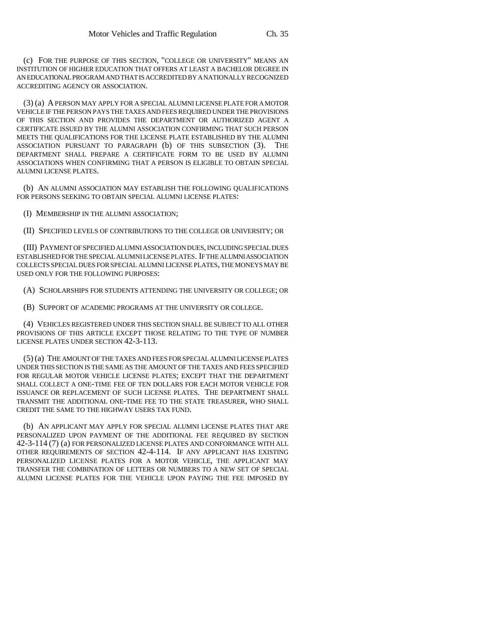(c) FOR THE PURPOSE OF THIS SECTION, "COLLEGE OR UNIVERSITY" MEANS AN INSTITUTION OF HIGHER EDUCATION THAT OFFERS AT LEAST A BACHELOR DEGREE IN AN EDUCATIONAL PROGRAM AND THAT IS ACCREDITED BY A NATIONALLY RECOGNIZED ACCREDITING AGENCY OR ASSOCIATION.

(3) (a) A PERSON MAY APPLY FOR A SPECIAL ALUMNI LICENSE PLATE FOR A MOTOR VEHICLE IF THE PERSON PAYS THE TAXES AND FEES REQUIRED UNDER THE PROVISIONS OF THIS SECTION AND PROVIDES THE DEPARTMENT OR AUTHORIZED AGENT A CERTIFICATE ISSUED BY THE ALUMNI ASSOCIATION CONFIRMING THAT SUCH PERSON MEETS THE QUALIFICATIONS FOR THE LICENSE PLATE ESTABLISHED BY THE ALUMNI ASSOCIATION PURSUANT TO PARAGRAPH (b) OF THIS SUBSECTION (3). THE DEPARTMENT SHALL PREPARE A CERTIFICATE FORM TO BE USED BY ALUMNI ASSOCIATIONS WHEN CONFIRMING THAT A PERSON IS ELIGIBLE TO OBTAIN SPECIAL ALUMNI LICENSE PLATES.

(b) AN ALUMNI ASSOCIATION MAY ESTABLISH THE FOLLOWING QUALIFICATIONS FOR PERSONS SEEKING TO OBTAIN SPECIAL ALUMNI LICENSE PLATES:

(I) MEMBERSHIP IN THE ALUMNI ASSOCIATION;

(II) SPECIFIED LEVELS OF CONTRIBUTIONS TO THE COLLEGE OR UNIVERSITY; OR

(III) PAYMENT OF SPECIFIED ALUMNI ASSOCIATION DUES, INCLUDING SPECIAL DUES ESTABLISHED FOR THE SPECIAL ALUMNI LICENSE PLATES. IF THE ALUMNI ASSOCIATION COLLECTS SPECIAL DUES FOR SPECIAL ALUMNI LICENSE PLATES, THE MONEYS MAY BE USED ONLY FOR THE FOLLOWING PURPOSES:

(A) SCHOLARSHIPS FOR STUDENTS ATTENDING THE UNIVERSITY OR COLLEGE; OR

(B) SUPPORT OF ACADEMIC PROGRAMS AT THE UNIVERSITY OR COLLEGE.

(4) VEHICLES REGISTERED UNDER THIS SECTION SHALL BE SUBJECT TO ALL OTHER PROVISIONS OF THIS ARTICLE EXCEPT THOSE RELATING TO THE TYPE OF NUMBER LICENSE PLATES UNDER SECTION 42-3-113.

(5) (a) THE AMOUNT OF THE TAXES AND FEES FOR SPECIAL ALUMNI LICENSE PLATES UNDER THIS SECTION IS THE SAME AS THE AMOUNT OF THE TAXES AND FEES SPECIFIED FOR REGULAR MOTOR VEHICLE LICENSE PLATES; EXCEPT THAT THE DEPARTMENT SHALL COLLECT A ONE-TIME FEE OF TEN DOLLARS FOR EACH MOTOR VEHICLE FOR ISSUANCE OR REPLACEMENT OF SUCH LICENSE PLATES. THE DEPARTMENT SHALL TRANSMIT THE ADDITIONAL ONE-TIME FEE TO THE STATE TREASURER, WHO SHALL CREDIT THE SAME TO THE HIGHWAY USERS TAX FUND.

(b) AN APPLICANT MAY APPLY FOR SPECIAL ALUMNI LICENSE PLATES THAT ARE PERSONALIZED UPON PAYMENT OF THE ADDITIONAL FEE REQUIRED BY SECTION 42-3-114 (7) (a) FOR PERSONALIZED LICENSE PLATES AND CONFORMANCE WITH ALL OTHER REQUIREMENTS OF SECTION 42-4-114. IF ANY APPLICANT HAS EXISTING PERSONALIZED LICENSE PLATES FOR A MOTOR VEHICLE, THE APPLICANT MAY TRANSFER THE COMBINATION OF LETTERS OR NUMBERS TO A NEW SET OF SPECIAL ALUMNI LICENSE PLATES FOR THE VEHICLE UPON PAYING THE FEE IMPOSED BY